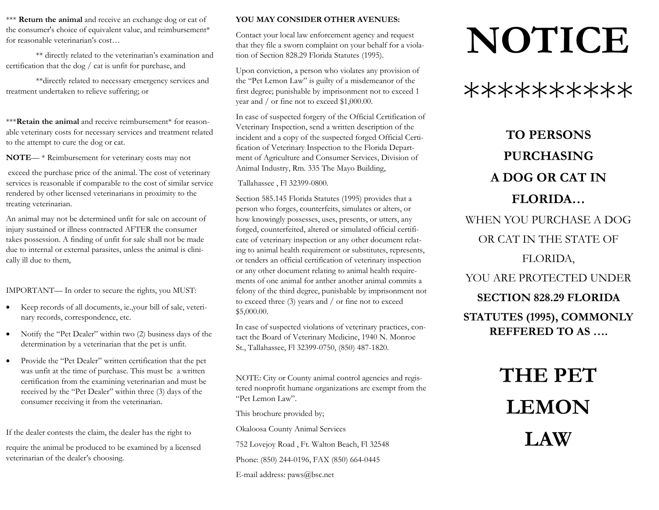\*\*\* **Return the animal** and receive an exchange dog or cat of the consumer's choice of equivalent value, and reimbursement\* for reasonable veterinarian's cost…

\*\* directly related to the veterinarian's examination and certification that the dog / cat is unfit for purchase, and

 \*\*directly related to necessary emergency services and treatment undertaken to relieve suffering; or

\*\*\***Retain the animal** and receive reimbursement\* for reasonable veterinary costs for necessary services and treatment related to the attempt to cure the dog or cat.

**NOTE**— \* Reimbursement for veterinary costs may not

 exceed the purchase price of the animal. The cost of veterinary services is reasonable if comparable to the cost of similar service rendered by other licensed veterinarians in proximity to the treating veterinarian.

An animal may not be determined unfit for sale on account of injury sustained or illness contracted AFTER the consumer takes possession. A finding of unfit for sale shall not be made due to internal or external parasites, unless the animal is clinically ill due to them,

IMPORTANT— In order to secure the rights, you MUST:

- Keep records of all documents, ie.,your bill of sale, veterinary records, correspondence, etc.
- Notify the "Pet Dealer" within two (2) business days of the determination by a veterinarian that the pet is unfit.
- Provide the "Pet Dealer" written certification that the pet was unfit at the time of purchase. This must be a written certification from the examining veterinarian and must be received by the "Pet Dealer" within three (3) days of the consumer receiving it from the veterinarian.

If the dealer contests the claim, the dealer has the right to

require the animal be produced to be examined by a licensed veterinarian of the dealer's choosing.

#### **YOU MAY CONSIDER OTHER AVENUES:**

Contact your local law enforcement agency and request that they file a sworn complaint on your behalf for a violation of Section 828.29 Florida Statutes (1995).

Upon conviction, a person who violates any provision of the "Pet Lemon Law" is guilty of a misdemeanor of the first degree; punishable by imprisonment not to exceed 1 year and / or fine not to exceed \$1,000.00.

In case of suspected forgery of the Official Certification of Veterinary Inspection, send a written description of the incident and a copy of the suspected forged Official Certification of Veterinary Inspection to the Florida Department of Agriculture and Consumer Services, Division of Animal Industry, Rm. 335 The Mayo Building,

Tallahassee , Fl 32399-0800.

Section 585.145 Florida Statutes (1995) provides that a person who forges, counterfeits, simulates or alters, or how knowingly possesses, uses, presents, or utters, any forged, counterfeited, altered or simulated official certificate of veterinary inspection or any other document relating to animal health requirement or substitutes, represents, or tenders an official certification of veterinary inspection or any other document relating to animal health requirements of one animal for anther another animal commits a felony of the third degree, punishable by imprisonment not to exceed three (3) years and / or fine not to exceed \$5,000.00.

In case of suspected violations of veterinary practices, contact the Board of Veterinary Medicine, 1940 N. Monroe St., Tallahassee, Fl 32399-0750, (850) 487-1820.

NOTE: City or County animal control agencies and registered nonprofit humane organizations are exempt from the "Pet Lemon Law".

This brochure provided by;

Okaloosa County Animal Services

752 Lovejoy Road , Ft. Walton Beach, Fl 32548

Phone: (850) 244-0196, FAX (850) 664-0445

E-mail address: paws@bsc.net

# **NOTICE**

\*\*\*\*\*\*\*\*\*\*

### **TO PERSONS PURCHASING A DOG OR CAT IN FLORIDA…**

WHEN YOU PURCHASE A DOG OR CAT IN THE STATE OF FLORIDA, YOU ARE PROTECTED UNDER **SECTION 828.29 FLORIDA STATUTES (1995), COMMONLY REFFERED TO AS ….** 

## **THE PET LEMON LAW**